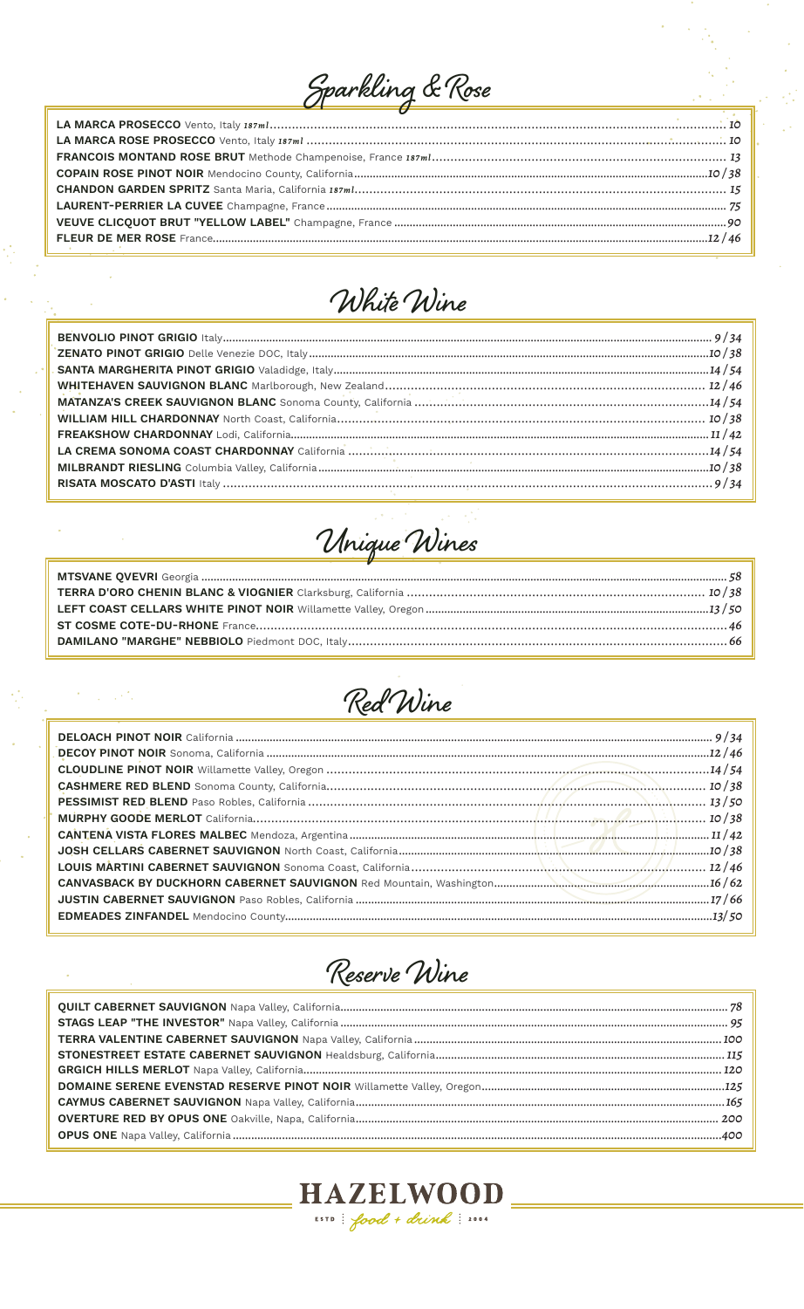# Sparkling & Rose



Unique Wines

 $\bar{\mathcal{A}}$ 

 $\mathcal{F}^{\text{c}}_{\text{c}}$  , and  $\mathcal{F}^{\text{c}}_{\text{c}}$ 

 $\frac{1}{2}$ 



Reserve Wine